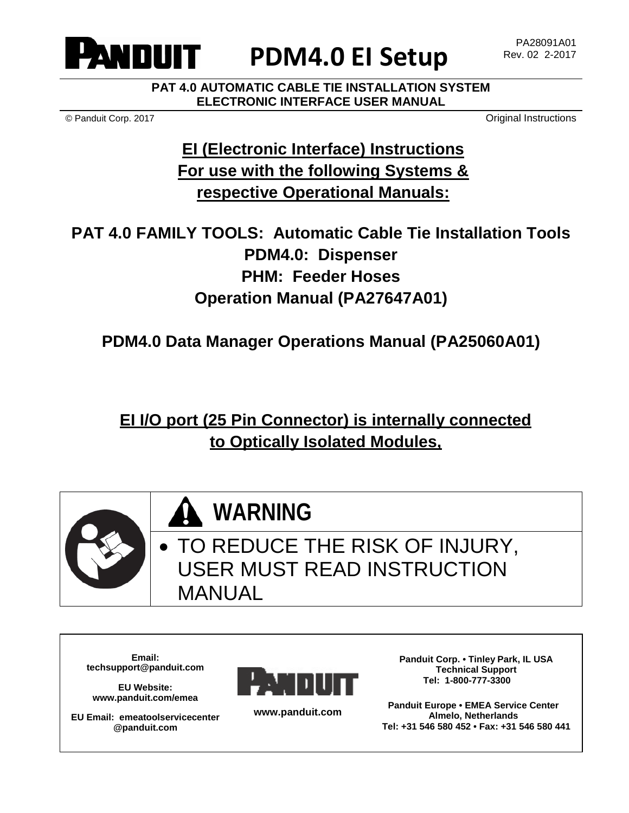

# **PDM4.0 EI Setup**

**PAT 4.0 AUTOMATIC CABLE TIE INSTALLATION SYSTEM ELECTRONIC INTERFACE USER MANUAL**

© Panduit Corp. 2017 Original Instructions

# **EI (Electronic Interface) Instructions For use with the following Systems & respective Operational Manuals:**

**PAT 4.0 FAMILY TOOLS: Automatic Cable Tie Installation Tools PDM4.0: Dispenser PHM: Feeder Hoses Operation Manual (PA27647A01)**

**PDM4.0 Data Manager Operations Manual (PA25060A01)**

**EI I/O port (25 Pin Connector) is internally connected to Optically Isolated Modules,**



**WARNING**

TO REDUCE THE RISK OF INJURY, USER MUST READ INSTRUCTION MANUAL

**Email: techsupport@panduit.com** 

**EU Website: www.panduit.com/emea**

**EU Email: emeatoolservicecenter @panduit.com**



**www.panduit.com**

**Panduit Corp. • Tinley Park, IL USA Technical Support Tel: 1-800-777-3300**

**Panduit Europe • EMEA Service Center Almelo, Netherlands Tel: +31 546 580 452 • Fax: +31 546 580 441**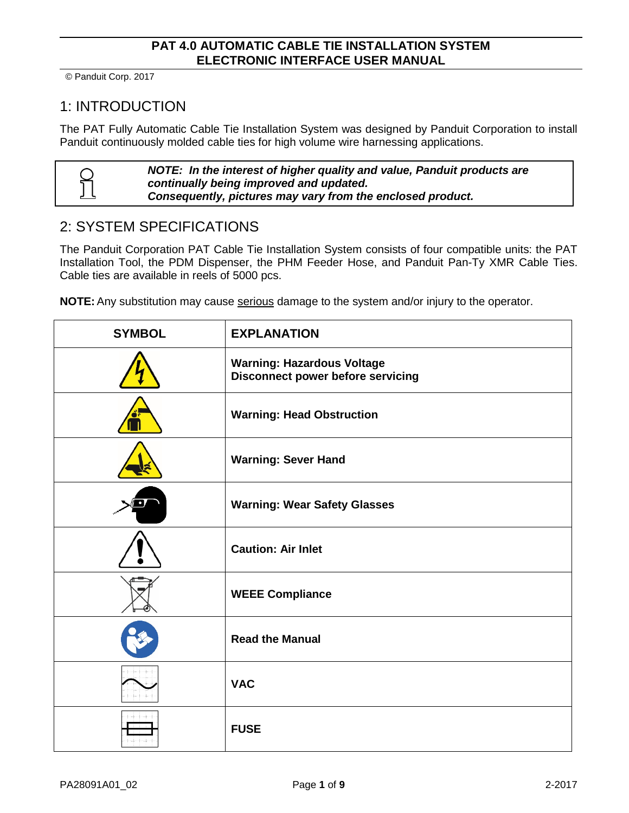## 1: INTRODUCTION

The PAT Fully Automatic Cable Tie Installation System was designed by Panduit Corporation to install Panduit continuously molded cable ties for high volume wire harnessing applications.

|   | NOTE: In the interest of higher quality and value, Panduit products are |
|---|-------------------------------------------------------------------------|
| ႙ | continually being improved and updated.                                 |
| 丄 | Consequently, pictures may vary from the enclosed product.              |

#### 2: SYSTEM SPECIFICATIONS

The Panduit Corporation PAT Cable Tie Installation System consists of four compatible units: the PAT Installation Tool, the PDM Dispenser, the PHM Feeder Hose, and Panduit Pan-Ty XMR Cable Ties. Cable ties are available in reels of 5000 pcs.

**NOTE:** Any substitution may cause serious damage to the system and/or injury to the operator.

| <b>SYMBOL</b> | <b>EXPLANATION</b>                                                            |
|---------------|-------------------------------------------------------------------------------|
|               | <b>Warning: Hazardous Voltage</b><br><b>Disconnect power before servicing</b> |
|               | <b>Warning: Head Obstruction</b>                                              |
|               | <b>Warning: Sever Hand</b>                                                    |
|               | <b>Warning: Wear Safety Glasses</b>                                           |
|               | <b>Caution: Air Inlet</b>                                                     |
|               | <b>WEEE Compliance</b>                                                        |
|               | <b>Read the Manual</b>                                                        |
|               | <b>VAC</b>                                                                    |
|               | <b>FUSE</b>                                                                   |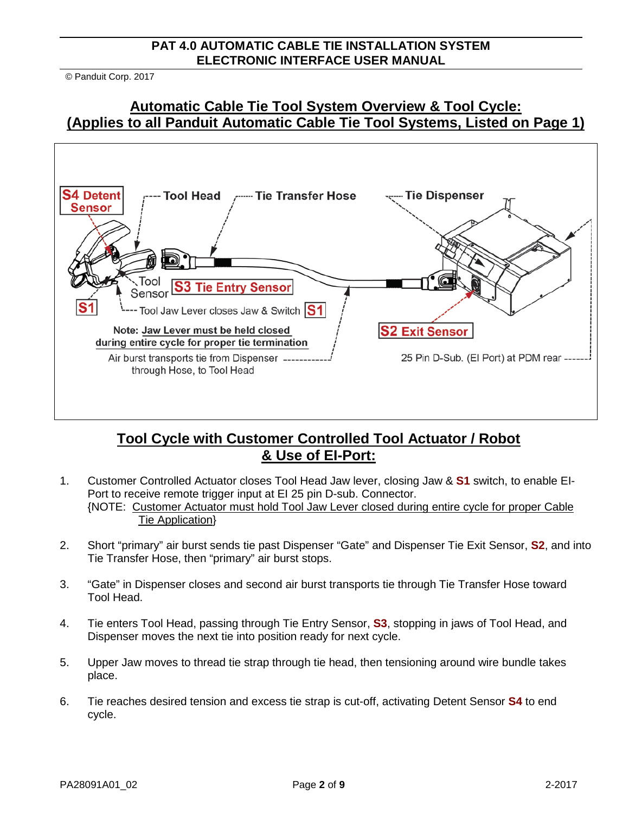© Panduit Corp. 2017

#### **Automatic Cable Tie Tool System Overview & Tool Cycle: (Applies to all Panduit Automatic Cable Tie Tool Systems, Listed on Page 1)**



#### **Tool Cycle with Customer Controlled Tool Actuator / Robot & Use of EI-Port:**

- 1. Customer Controlled Actuator closes Tool Head Jaw lever, closing Jaw & **S1** switch, to enable EI-Port to receive remote trigger input at EI 25 pin D-sub. Connector. {NOTE: Customer Actuator must hold Tool Jaw Lever closed during entire cycle for proper Cable Tie Application}
- 2. Short "primary" air burst sends tie past Dispenser "Gate" and Dispenser Tie Exit Sensor, **S2**, and into Tie Transfer Hose, then "primary" air burst stops.
- 3. "Gate" in Dispenser closes and second air burst transports tie through Tie Transfer Hose toward Tool Head.
- 4. Tie enters Tool Head, passing through Tie Entry Sensor, **S3**, stopping in jaws of Tool Head, and Dispenser moves the next tie into position ready for next cycle.
- 5. Upper Jaw moves to thread tie strap through tie head, then tensioning around wire bundle takes place.
- 6. Tie reaches desired tension and excess tie strap is cut-off, activating Detent Sensor **S4** to end cycle.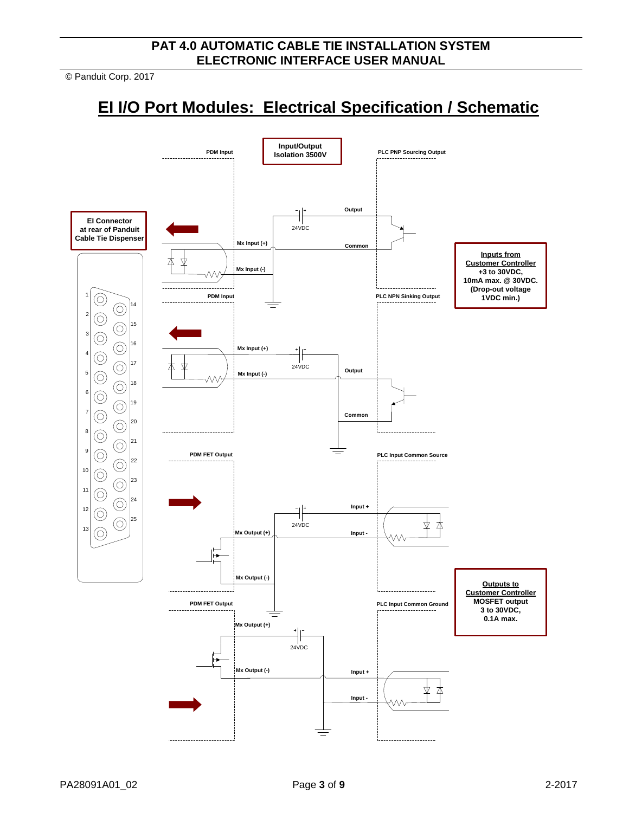© Panduit Corp. 2017

# **EI I/O Port Modules: Electrical Specification / Schematic**

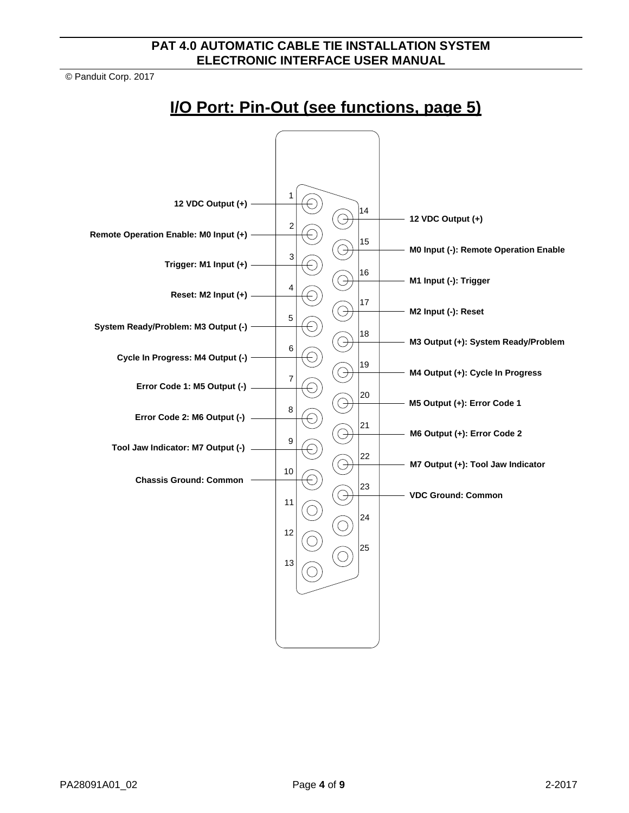© Panduit Corp. 2017

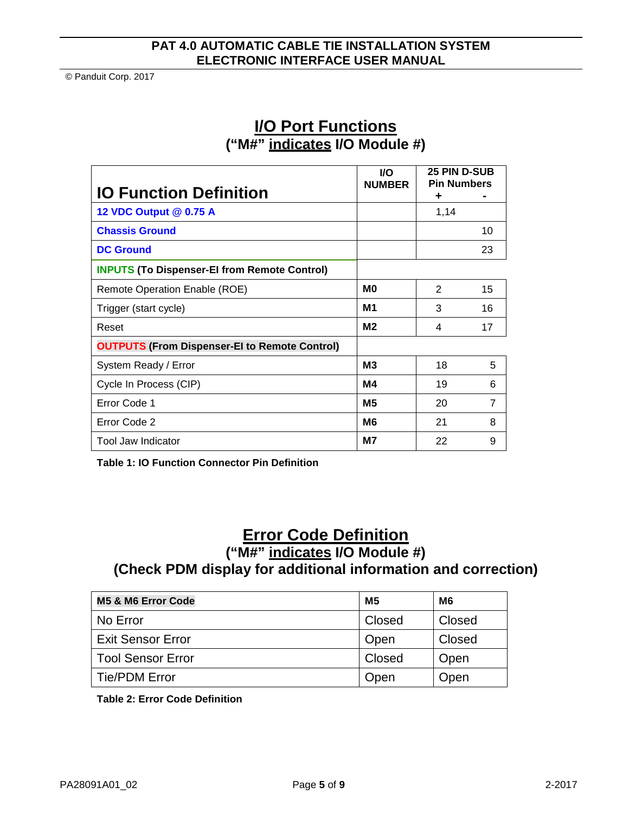|                                                      | <b>VO</b><br><b>NUMBER</b> | <b>25 PIN D-SUB</b><br><b>Pin Numbers</b> |                |
|------------------------------------------------------|----------------------------|-------------------------------------------|----------------|
| <b>IO Function Definition</b>                        |                            | ٠                                         |                |
| 12 VDC Output @ 0.75 A                               |                            | 1,14                                      |                |
| <b>Chassis Ground</b>                                |                            |                                           | 10             |
| <b>DC Ground</b>                                     |                            |                                           | 23             |
| <b>INPUTS (To Dispenser-El from Remote Control)</b>  |                            |                                           |                |
| Remote Operation Enable (ROE)                        | M <sub>0</sub>             | 2                                         | 15             |
| Trigger (start cycle)                                | M1                         | 3                                         | 16             |
| Reset                                                | M <sub>2</sub>             | 4                                         | 17             |
| <b>OUTPUTS (From Dispenser-EI to Remote Control)</b> |                            |                                           |                |
| System Ready / Error                                 | M <sub>3</sub>             | 18                                        | 5              |
| Cycle In Process (CIP)                               | M4                         | 19                                        | 6              |
| Error Code 1                                         | M <sub>5</sub>             | 20                                        | $\overline{7}$ |
| Error Code 2                                         | M <sub>6</sub>             | 21                                        | 8              |
| Tool Jaw Indicator                                   | <b>M7</b>                  | 22                                        | 9              |

#### **I/O Port Functions ("M#" indicates I/O Module #)**

**Table 1: IO Function Connector Pin Definition**

### **Error Code Definition ("M#" indicates I/O Module #) (Check PDM display for additional information and correction)**

| M5 & M6 Error Code       | M <sub>5</sub> | M6     |
|--------------------------|----------------|--------|
| No Error                 | Closed         | Closed |
| <b>Exit Sensor Error</b> | Open           | Closed |
| <b>Tool Sensor Error</b> | Closed         | Open   |
| <b>Tie/PDM Error</b>     | Open           | Open   |

**Table 2: Error Code Definition**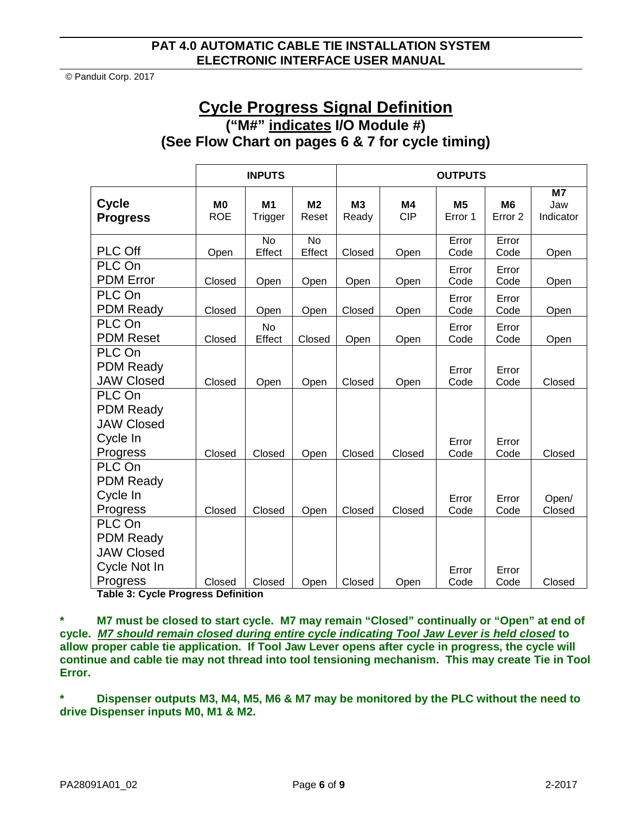## **Cycle Progress Signal Definition ("M#" indicates I/O Module #) (See Flow Chart on pages 6 & 7 for cycle timing)**

|                                                                             | <b>INPUTS</b>           |                     |                         | <b>OUTPUTS</b>          |                  |                      |                                      |                                    |
|-----------------------------------------------------------------------------|-------------------------|---------------------|-------------------------|-------------------------|------------------|----------------------|--------------------------------------|------------------------------------|
| <b>Cycle</b><br><b>Progress</b>                                             | <b>MO</b><br><b>ROE</b> | M1<br>Trigger       | M <sub>2</sub><br>Reset | M <sub>3</sub><br>Ready | M4<br><b>CIP</b> | <b>M5</b><br>Error 1 | M <sub>6</sub><br>Error <sub>2</sub> | M <sub>7</sub><br>Jaw<br>Indicator |
| <b>PLC Off</b>                                                              | Open                    | <b>No</b><br>Effect | <b>No</b><br>Effect     | Closed                  | Open             | Error<br>Code        | Error<br>Code                        | Open                               |
| PLC On<br><b>PDM</b> Error                                                  | Closed                  | Open                | Open                    | Open                    | Open             | Error<br>Code        | Error<br>Code                        | Open                               |
| PLC On<br><b>PDM Ready</b>                                                  | Closed                  | Open                | Open                    | Closed                  | Open             | Error<br>Code        | Error<br>Code                        | Open                               |
| PLC On<br><b>PDM Reset</b>                                                  | Closed                  | <b>No</b><br>Effect | Closed                  | Open                    | Open             | Error<br>Code        | Error<br>Code                        | Open                               |
| PLC On<br><b>PDM Ready</b><br><b>JAW Closed</b>                             | Closed                  | Open                | Open                    | Closed                  | Open             | Error<br>Code        | Error<br>Code                        | Closed                             |
| PLC On<br><b>PDM Ready</b><br><b>JAW Closed</b><br>Cycle In<br>Progress     | Closed                  | Closed              | Open                    | Closed                  | Closed           | Error<br>Code        | Error<br>Code                        | Closed                             |
| PLC On<br><b>PDM Ready</b><br>Cycle In<br>Progress                          | Closed                  | Closed              | Open                    | Closed                  | Closed           | Error<br>Code        | Error<br>Code                        | Open/<br>Closed                    |
| PLC On<br><b>PDM Ready</b><br><b>JAW Closed</b><br>Cycle Not In<br>Progress | Closed                  | Closed              | Open                    | Closed                  | Open             | Error<br>Code        | Error<br>Code                        | Closed                             |

**Table 3: Cycle Progress Definition**

**\* M7 must be closed to start cycle. M7 may remain "Closed" continually or "Open" at end of cycle.** *M7 should remain closed during entire cycle indicating Tool Jaw Lever is held closed* **to allow proper cable tie application. If Tool Jaw Lever opens after cycle in progress, the cycle will continue and cable tie may not thread into tool tensioning mechanism. This may create Tie in Tool Error.**

**\* Dispenser outputs M3, M4, M5, M6 & M7 may be monitored by the PLC without the need to drive Dispenser inputs M0, M1 & M2.**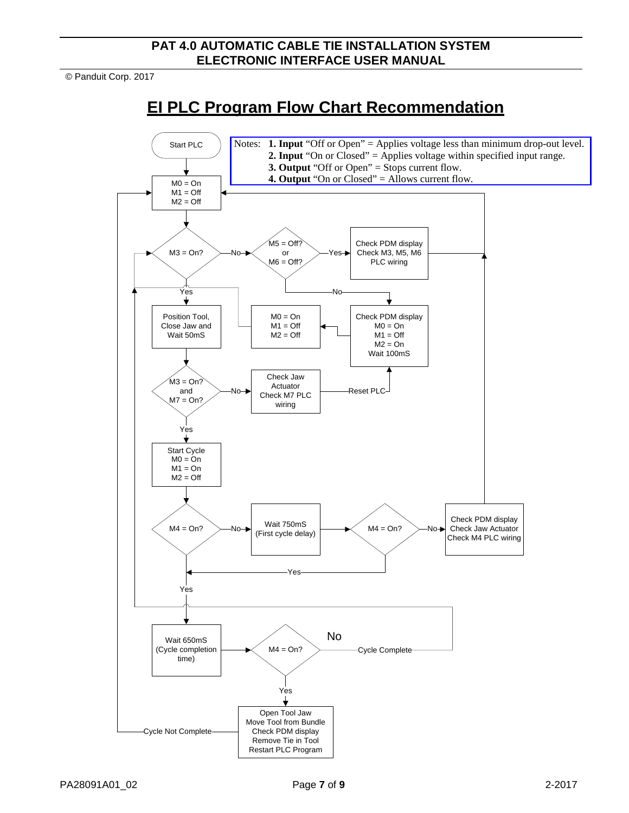© Panduit Corp. 2017

# **EI PLC Program Flow Chart Recommendation**

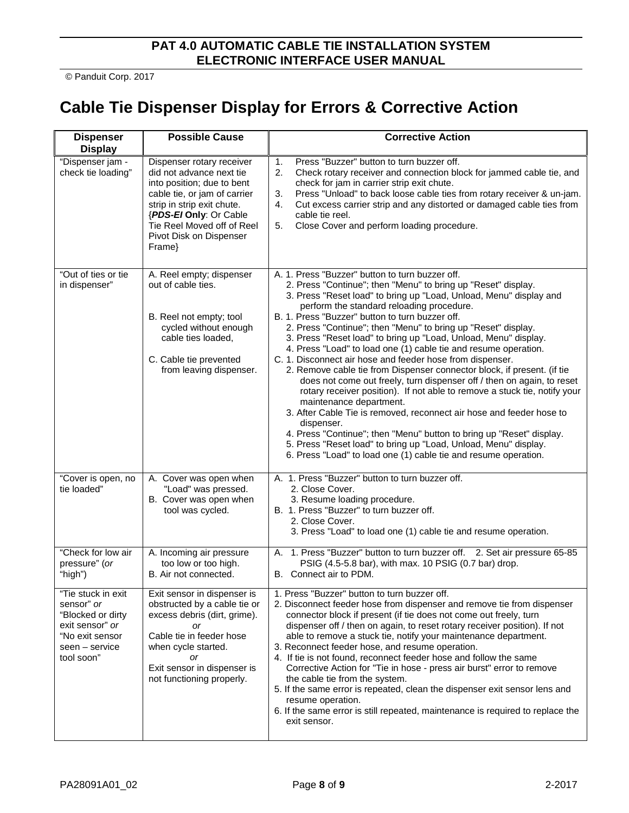# **Cable Tie Dispenser Display for Errors & Corrective Action**

| <b>Dispenser</b><br><b>Display</b>                                                                                          | <b>Possible Cause</b>                                                                                                                                                                                                                          | <b>Corrective Action</b>                                                                                                                                                                                                                                                                                                                                                                                                                                                                                                                                                                                                                                                                                                                                                                                                                                                                                                                                                                                                                                                                                                    |
|-----------------------------------------------------------------------------------------------------------------------------|------------------------------------------------------------------------------------------------------------------------------------------------------------------------------------------------------------------------------------------------|-----------------------------------------------------------------------------------------------------------------------------------------------------------------------------------------------------------------------------------------------------------------------------------------------------------------------------------------------------------------------------------------------------------------------------------------------------------------------------------------------------------------------------------------------------------------------------------------------------------------------------------------------------------------------------------------------------------------------------------------------------------------------------------------------------------------------------------------------------------------------------------------------------------------------------------------------------------------------------------------------------------------------------------------------------------------------------------------------------------------------------|
| "Dispenser jam -<br>check tie loading"                                                                                      | Dispenser rotary receiver<br>did not advance next tie<br>into position; due to bent<br>cable tie, or jam of carrier<br>strip in strip exit chute.<br>{PDS-El Only: Or Cable<br>Tie Reel Moved off of Reel<br>Pivot Disk on Dispenser<br>Frame} | Press "Buzzer" button to turn buzzer off.<br>1.<br>2.<br>Check rotary receiver and connection block for jammed cable tie, and<br>check for jam in carrier strip exit chute.<br>Press "Unload" to back loose cable ties from rotary receiver & un-jam.<br>3.<br>Cut excess carrier strip and any distorted or damaged cable ties from<br>4.<br>cable tie reel.<br>Close Cover and perform loading procedure.<br>5.                                                                                                                                                                                                                                                                                                                                                                                                                                                                                                                                                                                                                                                                                                           |
| "Out of ties or tie<br>in dispenser"                                                                                        | A. Reel empty; dispenser<br>out of cable ties.<br>B. Reel not empty; tool<br>cycled without enough<br>cable ties loaded,<br>C. Cable tie prevented<br>from leaving dispenser.                                                                  | A. 1. Press "Buzzer" button to turn buzzer off.<br>2. Press "Continue"; then "Menu" to bring up "Reset" display.<br>3. Press "Reset load" to bring up "Load, Unload, Menu" display and<br>perform the standard reloading procedure.<br>B. 1. Press "Buzzer" button to turn buzzer off.<br>2. Press "Continue"; then "Menu" to bring up "Reset" display.<br>3. Press "Reset load" to bring up "Load, Unload, Menu" display.<br>4. Press "Load" to load one (1) cable tie and resume operation.<br>C. 1. Disconnect air hose and feeder hose from dispenser.<br>2. Remove cable tie from Dispenser connector block, if present. (if tie<br>does not come out freely, turn dispenser off / then on again, to reset<br>rotary receiver position). If not able to remove a stuck tie, notify your<br>maintenance department.<br>3. After Cable Tie is removed, reconnect air hose and feeder hose to<br>dispenser.<br>4. Press "Continue"; then "Menu" button to bring up "Reset" display.<br>5. Press "Reset load" to bring up "Load, Unload, Menu" display.<br>6. Press "Load" to load one (1) cable tie and resume operation. |
| "Cover is open, no<br>tie loaded"                                                                                           | A. Cover was open when<br>"Load" was pressed.<br>B. Cover was open when<br>tool was cycled.                                                                                                                                                    | A. 1. Press "Buzzer" button to turn buzzer off.<br>2. Close Cover.<br>3. Resume loading procedure.<br>B. 1. Press "Buzzer" to turn buzzer off.<br>2. Close Cover.<br>3. Press "Load" to load one (1) cable tie and resume operation.                                                                                                                                                                                                                                                                                                                                                                                                                                                                                                                                                                                                                                                                                                                                                                                                                                                                                        |
| "Check for low air<br>pressure" (or<br>"high")                                                                              | A. Incoming air pressure<br>too low or too high.<br>B. Air not connected.                                                                                                                                                                      | 1. Press "Buzzer" button to turn buzzer off. 2. Set air pressure 65-85<br>А.<br>PSIG (4.5-5.8 bar), with max. 10 PSIG (0.7 bar) drop.<br>B. Connect air to PDM.                                                                                                                                                                                                                                                                                                                                                                                                                                                                                                                                                                                                                                                                                                                                                                                                                                                                                                                                                             |
| "Tie stuck in exit<br>sensor" or<br>"Blocked or dirty<br>exit sensor" or<br>"No exit sensor<br>seen – service<br>tool soon" | Exit sensor in dispenser is<br>obstructed by a cable tie or<br>excess debris (dirt, grime).<br>or<br>Cable tie in feeder hose<br>when cycle started.<br>or<br>Exit sensor in dispenser is<br>not functioning properly.                         | 1. Press "Buzzer" button to turn buzzer off.<br>2. Disconnect feeder hose from dispenser and remove tie from dispenser<br>connector block if present (if tie does not come out freely, turn<br>dispenser off / then on again, to reset rotary receiver position). If not<br>able to remove a stuck tie, notify your maintenance department.<br>3. Reconnect feeder hose, and resume operation.<br>4. If tie is not found, reconnect feeder hose and follow the same<br>Corrective Action for "Tie in hose - press air burst" error to remove<br>the cable tie from the system.<br>5. If the same error is repeated, clean the dispenser exit sensor lens and<br>resume operation.<br>6. If the same error is still repeated, maintenance is required to replace the<br>exit sensor.                                                                                                                                                                                                                                                                                                                                         |